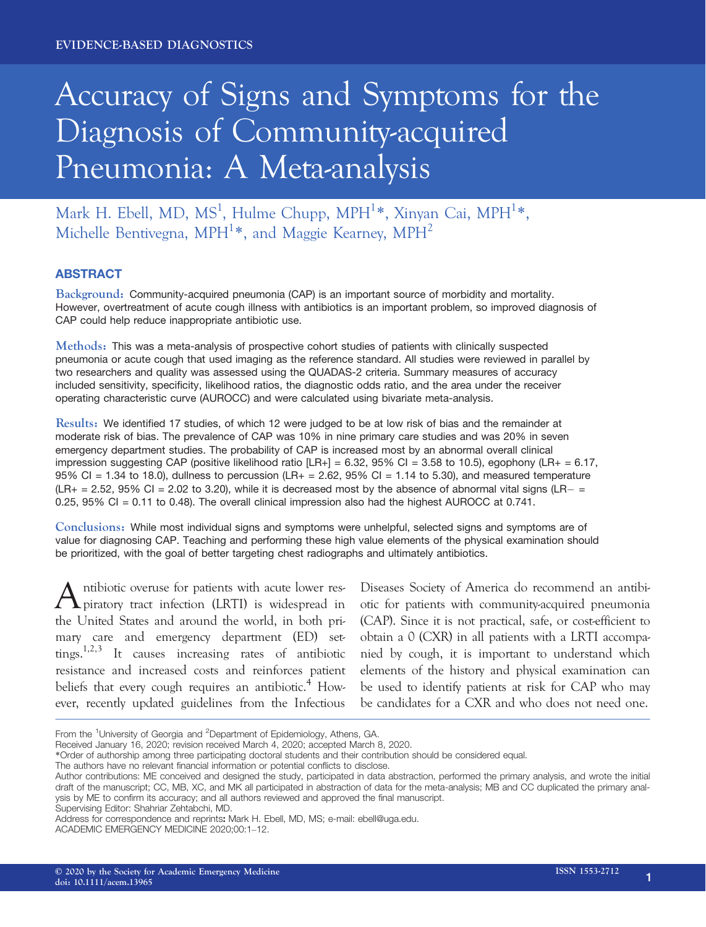# Accuracy of Signs and Symptoms for the Diagnosis of Community-acquired Pneumonia: A Meta-analysis

Mark H. Ebell, MD, MS<sup>1</sup>, Hulme Chupp, MPH<sup>1</sup>\*, Xinyan Cai, MPH<sup>1</sup>\*, Michelle Bentivegna, MPH<sup>1</sup>\*, and Maggie Kearney, MPH<sup>2</sup>

# ABSTRACT

Background: Community-acquired pneumonia (CAP) is an important source of morbidity and mortality. However, overtreatment of acute cough illness with antibiotics is an important problem, so improved diagnosis of CAP could help reduce inappropriate antibiotic use.

Methods: This was a meta-analysis of prospective cohort studies of patients with clinically suspected pneumonia or acute cough that used imaging as the reference standard. All studies were reviewed in parallel by two researchers and quality was assessed using the QUADAS-2 criteria. Summary measures of accuracy included sensitivity, specificity, likelihood ratios, the diagnostic odds ratio, and the area under the receiver operating characteristic curve (AUROCC) and were calculated using bivariate meta-analysis.

Results: We identified 17 studies, of which 12 were judged to be at low risk of bias and the remainder at moderate risk of bias. The prevalence of CAP was 10% in nine primary care studies and was 20% in seven emergency department studies. The probability of CAP is increased most by an abnormal overall clinical impression suggesting CAP (positive likelihood ratio  $[LR+] = 6.32$ , 95% Cl = 3.58 to 10.5), egophony (LR+ = 6.17, 95% CI = 1.34 to 18.0), dullness to percussion (LR+ = 2.62, 95% CI = 1.14 to 5.30), and measured temperature  $(LR_+ = 2.52, 95\% \text{ C}I = 2.02 \text{ to } 3.20)$ , while it is decreased most by the absence of abnormal vital signs  $(LR_+ = 1.02)$ 0.25, 95% CI = 0.11 to 0.48). The overall clinical impression also had the highest AUROCC at 0.741.

Conclusions: While most individual signs and symptoms were unhelpful, selected signs and symptoms are of value for diagnosing CAP. Teaching and performing these high value elements of the physical examination should be prioritized, with the goal of better targeting chest radiographs and ultimately antibiotics.

Antibiotic overuse for patients with acute lower res-piratory tract infection (LRTI) is widespread in the United States and around the world, in both primary care and emergency department (ED) settings.1,2,3 It causes increasing rates of antibiotic resistance and increased costs and reinforces patient beliefs that every cough requires an antibiotic.<sup>4</sup> However, recently updated guidelines from the Infectious

Diseases Society of America do recommend an antibiotic for patients with community-acquired pneumonia (CAP). Since it is not practical, safe, or cost-efficient to obtain a 0 (CXR) in all patients with a LRTI accompanied by cough, it is important to understand which elements of the history and physical examination can be used to identify patients at risk for CAP who may be candidates for a CXR and who does not need one.

Supervising Editor: Shahriar Zehtabchi, MD.

From the <sup>1</sup>University of Georgia and <sup>2</sup>Department of Epidemiology, Athens, GA.

Received January 16, 2020; revision received March 4, 2020; accepted March 8, 2020.

<sup>\*</sup>Order of authorship among three participating doctoral students and their contribution should be considered equal.

The authors have no relevant financial information or potential conflicts to disclose.

Author contributions: ME conceived and designed the study, participated in data abstraction, performed the primary analysis, and wrote the initial draft of the manuscript; CC, MB, XC, and MK all participated in abstraction of data for the meta-analysis; MB and CC duplicated the primary analysis by ME to confirm its accuracy; and all authors reviewed and approved the final manuscript.

Address for correspondence and reprints: Mark H. Ebell, MD, MS; e-mail: [ebell@uga.edu](mailto:).

ACADEMIC EMERGENCY MEDICINE 2020;00:1–12.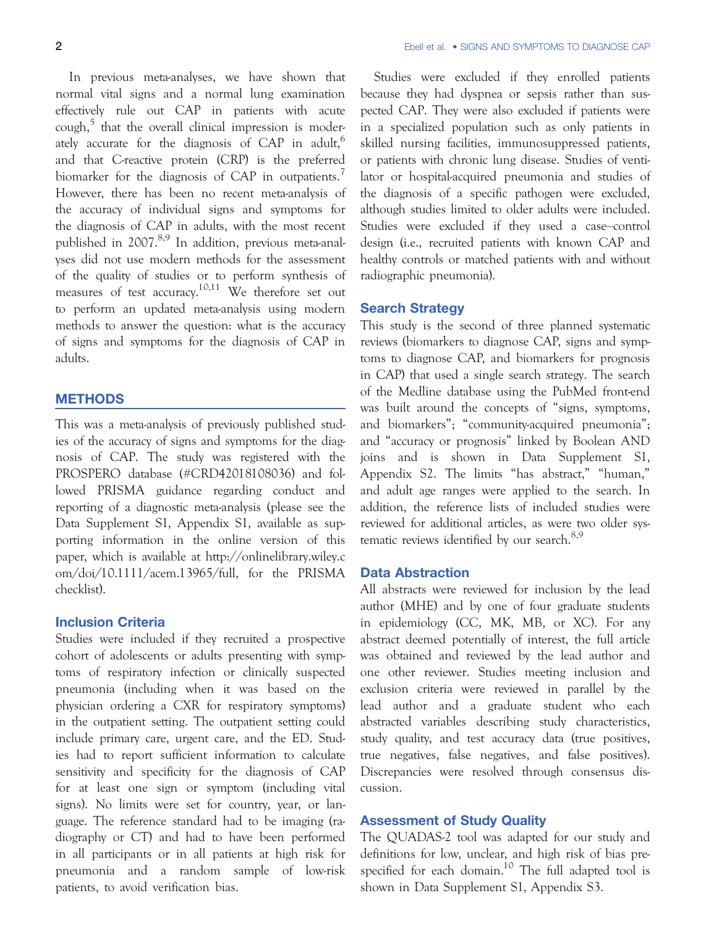In previous meta-analyses, we have shown that normal vital signs and a normal lung examination effectively rule out CAP in patients with acute  $\omega$ <sub>cough</sub><sup>5</sup> that the overall clinical impression is moderately accurate for the diagnosis of CAP in adult,<sup>6</sup> and that C-reactive protein (CRP) is the preferred biomarker for the diagnosis of CAP in outpatients.<sup>1</sup> However, there has been no recent meta-analysis of the accuracy of individual signs and symptoms for the diagnosis of CAP in adults, with the most recent published in 2007.<sup>8,9</sup> In addition, previous meta-analyses did not use modern methods for the assessment of the quality of studies or to perform synthesis of measures of test accuracy.10,11 We therefore set out to perform an updated meta-analysis using modern methods to answer the question: what is the accuracy of signs and symptoms for the diagnosis of CAP in adults.

# **METHODS**

This was a meta-analysis of previously published studies of the accuracy of signs and symptoms for the diagnosis of CAP. The study was registered with the PROSPERO database (#CRD42018108036) and followed PRISMA guidance regarding conduct and reporting of a diagnostic meta-analysis (please see the Data Supplement S1, Appendix S1, available as supporting information in the online version of this paper, which is available at [http://onlinelibrary.wiley.c](http://onlinelibrary.wiley.com/doi/10.1111/acem.13965/full) [om/doi/10.1111/acem.13965/full,](http://onlinelibrary.wiley.com/doi/10.1111/acem.13965/full) for the PRISMA checklist).

# Inclusion Criteria

Studies were included if they recruited a prospective cohort of adolescents or adults presenting with symptoms of respiratory infection or clinically suspected pneumonia (including when it was based on the physician ordering a CXR for respiratory symptoms) in the outpatient setting. The outpatient setting could include primary care, urgent care, and the ED. Studies had to report sufficient information to calculate sensitivity and specificity for the diagnosis of CAP for at least one sign or symptom (including vital signs). No limits were set for country, year, or language. The reference standard had to be imaging (radiography or CT) and had to have been performed in all participants or in all patients at high risk for pneumonia and a random sample of low-risk patients, to avoid verification bias.

Studies were excluded if they enrolled patients because they had dyspnea or sepsis rather than suspected CAP. They were also excluded if patients were in a specialized population such as only patients in skilled nursing facilities, immunosuppressed patients, or patients with chronic lung disease. Studies of ventilator or hospital-acquired pneumonia and studies of the diagnosis of a specific pathogen were excluded, although studies limited to older adults were included. Studies were excluded if they used a case–control design (i.e., recruited patients with known CAP and healthy controls or matched patients with and without radiographic pneumonia).

# Search Strategy

This study is the second of three planned systematic reviews (biomarkers to diagnose CAP, signs and symptoms to diagnose CAP, and biomarkers for prognosis in CAP) that used a single search strategy. The search of the Medline database using the PubMed front-end was built around the concepts of "signs, symptoms, and biomarkers"; "community-acquired pneumonia"; and "accuracy or prognosis" linked by Boolean AND joins and is shown in Data Supplement S1, Appendix S2. The limits "has abstract," "human," and adult age ranges were applied to the search. In addition, the reference lists of included studies were reviewed for additional articles, as were two older systematic reviews identified by our search. $8,9$ 

## Data Abstraction

All abstracts were reviewed for inclusion by the lead author (MHE) and by one of four graduate students in epidemiology (CC, MK, MB, or XC). For any abstract deemed potentially of interest, the full article was obtained and reviewed by the lead author and one other reviewer. Studies meeting inclusion and exclusion criteria were reviewed in parallel by the lead author and a graduate student who each abstracted variables describing study characteristics, study quality, and test accuracy data (true positives, true negatives, false negatives, and false positives). Discrepancies were resolved through consensus discussion.

# Assessment of Study Quality

The QUADAS-2 tool was adapted for our study and definitions for low, unclear, and high risk of bias prespecified for each domain.<sup>10</sup> The full adapted tool is shown in Data Supplement S1, Appendix S3.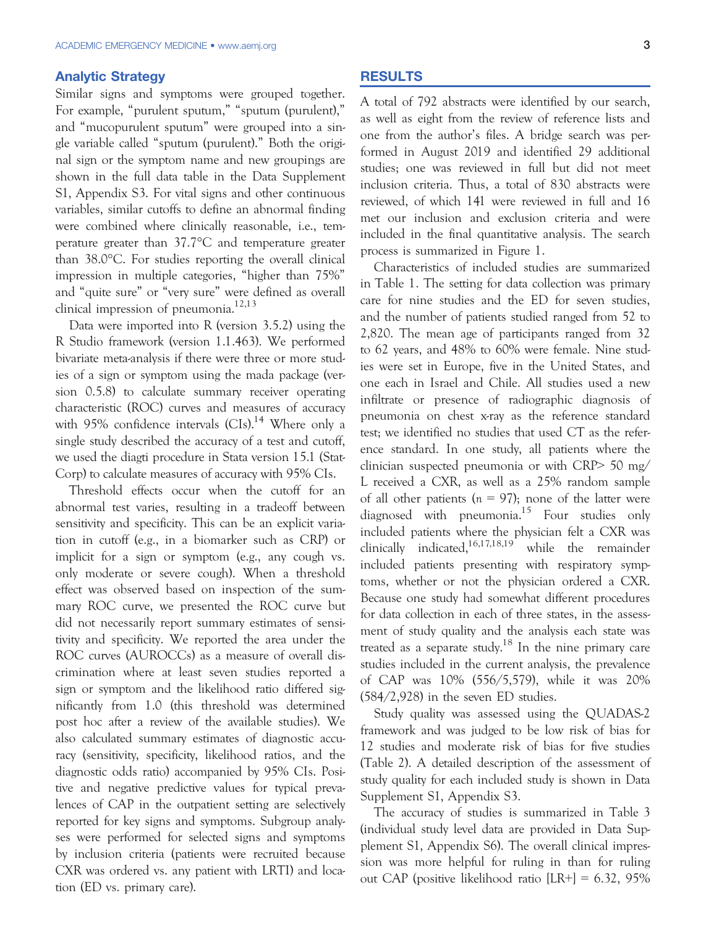### Analytic Strategy

Similar signs and symptoms were grouped together. For example, "purulent sputum," "sputum (purulent)," and "mucopurulent sputum" were grouped into a single variable called "sputum (purulent)." Both the original sign or the symptom name and new groupings are shown in the full data table in the Data Supplement S1, Appendix S3. For vital signs and other continuous variables, similar cutoffs to define an abnormal finding were combined where clinically reasonable, i.e., temperature greater than 37.7°C and temperature greater than 38.0°C. For studies reporting the overall clinical impression in multiple categories, "higher than 75%" and "quite sure" or "very sure" were defined as overall clinical impression of pneumonia.<sup>12,13</sup>

Data were imported into R (version 3.5.2) using the R Studio framework (version 1.1.463). We performed bivariate meta-analysis if there were three or more studies of a sign or symptom using the mada package (version 0.5.8) to calculate summary receiver operating characteristic (ROC) curves and measures of accuracy with 95% confidence intervals  $(CIs).<sup>14</sup>$  Where only a single study described the accuracy of a test and cutoff, we used the diagti procedure in Stata version 15.1 (Stat-Corp) to calculate measures of accuracy with 95% CIs.

Threshold effects occur when the cutoff for an abnormal test varies, resulting in a tradeoff between sensitivity and specificity. This can be an explicit variation in cutoff (e.g., in a biomarker such as CRP) or implicit for a sign or symptom (e.g., any cough vs. only moderate or severe cough). When a threshold effect was observed based on inspection of the summary ROC curve, we presented the ROC curve but did not necessarily report summary estimates of sensitivity and specificity. We reported the area under the ROC curves (AUROCCs) as a measure of overall discrimination where at least seven studies reported a sign or symptom and the likelihood ratio differed significantly from 1.0 (this threshold was determined post hoc after a review of the available studies). We also calculated summary estimates of diagnostic accuracy (sensitivity, specificity, likelihood ratios, and the diagnostic odds ratio) accompanied by 95% CIs. Positive and negative predictive values for typical prevalences of CAP in the outpatient setting are selectively reported for key signs and symptoms. Subgroup analyses were performed for selected signs and symptoms by inclusion criteria (patients were recruited because CXR was ordered vs. any patient with LRTI) and location (ED vs. primary care).

#### RESULTS

A total of 792 abstracts were identified by our search, as well as eight from the review of reference lists and one from the author's files. A bridge search was performed in August 2019 and identified 29 additional studies; one was reviewed in full but did not meet inclusion criteria. Thus, a total of 830 abstracts were reviewed, of which 141 were reviewed in full and 16 met our inclusion and exclusion criteria and were included in the final quantitative analysis. The search process is summarized in Figure 1.

Characteristics of included studies are summarized in Table 1. The setting for data collection was primary care for nine studies and the ED for seven studies, and the number of patients studied ranged from 52 to 2,820. The mean age of participants ranged from 32 to 62 years, and 48% to 60% were female. Nine studies were set in Europe, five in the United States, and one each in Israel and Chile. All studies used a new infiltrate or presence of radiographic diagnosis of pneumonia on chest x-ray as the reference standard test; we identified no studies that used CT as the reference standard. In one study, all patients where the clinician suspected pneumonia or with CRP> 50 mg/ L received a CXR, as well as a 25% random sample of all other patients ( $n = 97$ ); none of the latter were diagnosed with pneumonia.<sup>15</sup> Four studies only included patients where the physician felt a CXR was clinically indicated, $16,17,18,19$  while the remainder included patients presenting with respiratory symptoms, whether or not the physician ordered a CXR. Because one study had somewhat different procedures for data collection in each of three states, in the assessment of study quality and the analysis each state was treated as a separate study.<sup>18</sup> In the nine primary care studies included in the current analysis, the prevalence of CAP was 10% (556/5,579), while it was 20% (584/2,928) in the seven ED studies.

Study quality was assessed using the QUADAS-2 framework and was judged to be low risk of bias for 12 studies and moderate risk of bias for five studies (Table 2). A detailed description of the assessment of study quality for each included study is shown in Data Supplement S1, Appendix S3.

The accuracy of studies is summarized in Table 3 (individual study level data are provided in Data Supplement S1, Appendix S6). The overall clinical impression was more helpful for ruling in than for ruling out CAP (positive likelihood ratio [LR+] = 6.32, 95%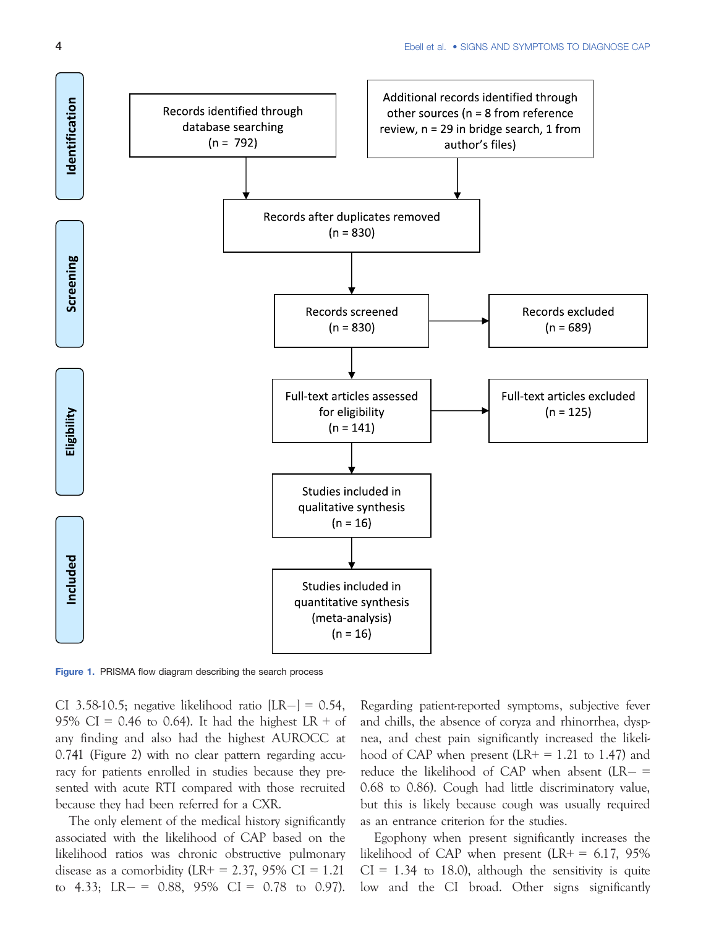

Figure 1. PRISMA flow diagram describing the search process

CI 3.58-10.5; negative likelihood ratio  $[LR-] = 0.54$ , 95% CI = 0.46 to 0.64). It had the highest LR + of any finding and also had the highest AUROCC at 0.741 (Figure 2) with no clear pattern regarding accuracy for patients enrolled in studies because they presented with acute RTI compared with those recruited because they had been referred for a CXR.

The only element of the medical history significantly associated with the likelihood of CAP based on the likelihood ratios was chronic obstructive pulmonary disease as a comorbidity (LR+ = 2.37, 95% CI = 1.21 to 4.33; LR  $- = 0.88$ , 95% CI = 0.78 to 0.97). Regarding patient-reported symptoms, subjective fever and chills, the absence of coryza and rhinorrhea, dyspnea, and chest pain significantly increased the likelihood of CAP when present  $(LR + = 1.21)$  to 1.47) and reduce the likelihood of CAP when absent  $(LR - =$ 0.68 to 0.86). Cough had little discriminatory value, but this is likely because cough was usually required as an entrance criterion for the studies.

Egophony when present significantly increases the likelihood of CAP when present  $(LR + 6.17, 95\%)$  $CI = 1.34$  to 18.0), although the sensitivity is quite low and the CI broad. Other signs significantly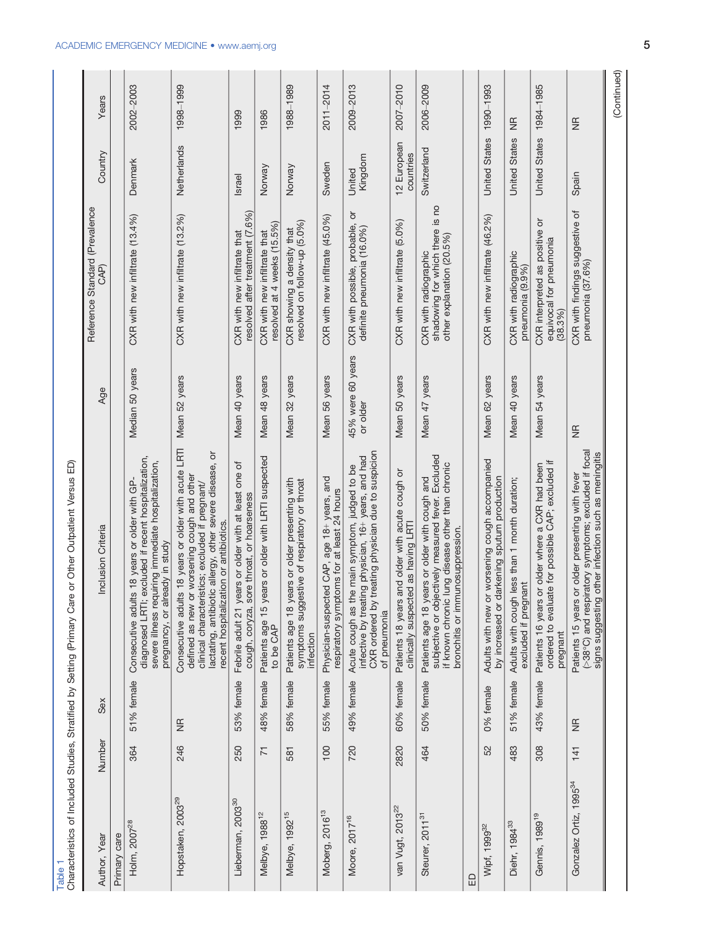| Characteristics of Included Studies, Stratified by Setting (Primary Care<br><b>Table</b> |                |                                 | or Other Outpatient Versus ED)                                                                                                                                                                                                                              |                               |                                                                                       |                          |               |
|------------------------------------------------------------------------------------------|----------------|---------------------------------|-------------------------------------------------------------------------------------------------------------------------------------------------------------------------------------------------------------------------------------------------------------|-------------------------------|---------------------------------------------------------------------------------------|--------------------------|---------------|
| Author, Year                                                                             | Number         | Sex                             | Inclusion Criteria                                                                                                                                                                                                                                          | Age                           | Reference Standard (Prevalence<br>CAP)                                                | Country                  | Years         |
| Primary care                                                                             |                |                                 |                                                                                                                                                                                                                                                             |                               |                                                                                       |                          |               |
| Holm, 2007 <sup>28</sup>                                                                 | 364            | 51% female                      | diagnosed LRTI; excluded if recent hospitalization,<br>severe illness requiring immediate hospitalization,<br>Consecutive adults 18 years or older with GP-<br>pregnancy, or already in study                                                               | Median 50 years               | CXR with new infiltrate (13.4%)                                                       | Denmark                  | 2002-2003     |
| Hopstaken, 2003 <sup>29</sup>                                                            | 246            | $\frac{1}{2}$                   | Consecutive adults 18 years or older with acute LRTI<br>lactating, antibiotic allergy, other severe disease, or<br>defined as new or worsening cough and other<br>clinical characteristics; excluded if pregnant/<br>recent hospitalization or antibiotics. | Mean 52 years                 | CXR with new infiltrate (13.2%)                                                       | Netherlands              | 1998-1999     |
| Lieberman, 2003 <sup>30</sup>                                                            | 250            | 53% female                      | Febrile adult 21 years or older with at least one of<br>cough, coryza, sore throat, or hoarseness                                                                                                                                                           | Mean 40 years                 | resolved after treatment (7.6%)<br>CXR with new infiltrate that                       | <b>Israel</b>            | 1999          |
| Melbye, 1988 <sup>12</sup>                                                               | $\overline{7}$ | 48% female                      | Patients age 15 years or older with LRTI suspected<br>to be CAP                                                                                                                                                                                             | Mean 48 years                 | resolved at 4 weeks (15.5%)<br>CXR with new infiltrate that                           | Norway                   | 1986          |
| Melbye, 1992 <sup>15</sup>                                                               | 581            | 58% female                      | Patients age 18 years or older presenting with<br>symptoms suggestive of respiratory or throat<br>infection                                                                                                                                                 | Mean 32 years                 | resolved on follow-up (5.0%)<br>CXR showing a density that                            | Norway                   | 1988-1989     |
| Moberg, 2016 <sup>13</sup>                                                               | 100            | 55% female                      | Physician-suspected CAP, age 18+ years, and<br>respiratory symptoms for at least 24 hours                                                                                                                                                                   | Mean 56 years                 | CXR with new infiltrate (45.0%)                                                       | Sweden                   | 2011-2014     |
| Moore, 2017 <sup>16</sup>                                                                | 720            | 49% female                      | CXR ordered by treating physician due to suspicion<br>infective by treating physician, 16+ years, and had<br>Acute cough as the main symptom, judged to be<br>of pneumonia                                                                                  | 45% were 60 years<br>or older | CXR with possible, probable, or<br>definite pneumonia (16.0%)                         | Kingdom<br>United        | 2009-2013     |
| van Vugt, 2013 <sup>22</sup>                                                             | 2820           | 60% female                      | Patients 18 years and older with acute cough or<br>clinically suspected as having LRTI                                                                                                                                                                      | Mean 50 years                 | CXR with new infiltrate (5.0%)                                                        | 12 European<br>countries | 2007-2010     |
| Steurer, 2011 <sup>31</sup>                                                              | 464            | 50% female                      | subjective or objectively measured fever. Excluded<br>ung disease other than chronic<br>Patients age 18 years or older with cough and<br>bronchitis or immunosuppression.<br>if known chronic I                                                             | Mean 47 years                 | shadowing for which there is no<br>other explanation (20.5%)<br>CXR with radiographic | Switzerland              | 2006-2009     |
| 品                                                                                        |                |                                 |                                                                                                                                                                                                                                                             |                               |                                                                                       |                          |               |
| Wipf, 1999 <sup>32</sup>                                                                 | 52             | 0% female                       | Adults with new or worsening cough accompanied<br>by increased or darkening sputum production                                                                                                                                                               | Mean 62 years                 | CXR with new infiltrate (46.2%)                                                       | <b>United States</b>     | 1990-1993     |
| Diehr, 1984 <sup>33</sup>                                                                | 483            | 51% female                      | less than 1 month duration;<br>excluded if pregnant<br>Adults with cough                                                                                                                                                                                    | Mean 40 years                 | CXR with radiographic<br>pneumonia (9.9%)                                             | <b>United States</b>     | $\frac{1}{2}$ |
| Gennis, 1989 <sup>19</sup>                                                               | 308            | 43% female                      | ordered to evaluate for possible CAP; excluded if<br>Patients 16 years or older where a CXR had been<br>pregnant                                                                                                                                            | Mean 54 years                 | CXR interpreted as positive or<br>equivocal for pneumonia<br>(38.3%)                  | <b>United States</b>     | 1984-1985     |
| Gonzalez Ortiz, 1995 <sup>34</sup>                                                       | 141            | $\frac{\mathsf{g}}{\mathsf{g}}$ | (>38°C) and respiratory symptoms; excluded if focal<br>other infection such as meningitis<br>Patients 15 years or older presenting with fever<br>signs suggesting                                                                                           | $\frac{1}{2}$                 | CXR with findings suggestive of<br>pneumonia (37.6%)                                  | Spain                    | g             |
|                                                                                          |                |                                 |                                                                                                                                                                                                                                                             |                               |                                                                                       |                          | (Continued)   |

# ACADEMIC EMERGENCY MEDICINE • www.aemj.org 5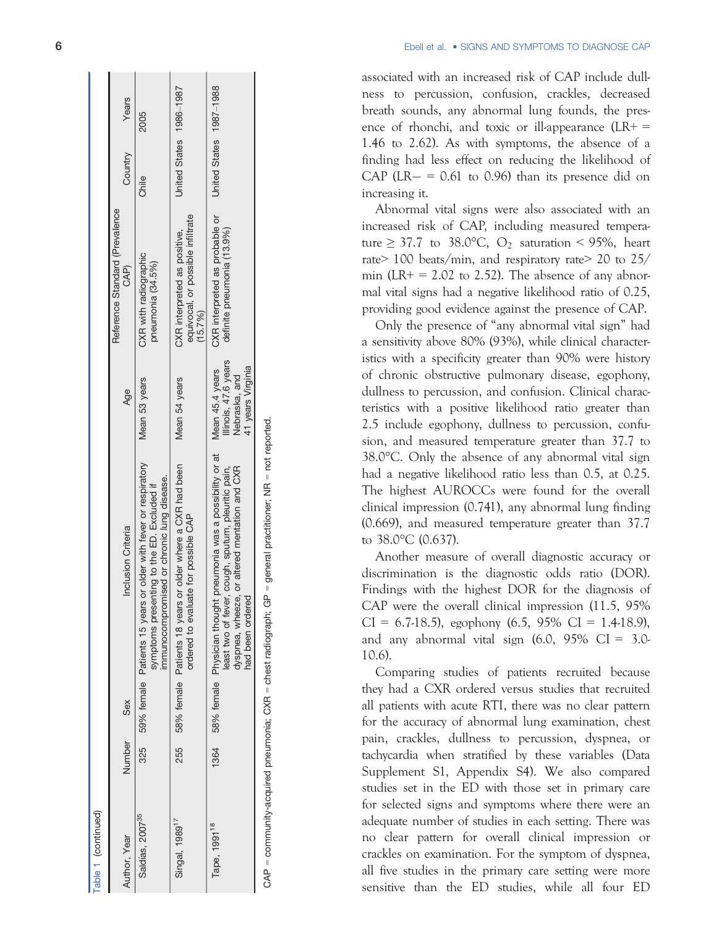| Table 1 (continued)         |        |     |                                                                                                                                                                                                              |                                                            |                                                                              |                         |       |
|-----------------------------|--------|-----|--------------------------------------------------------------------------------------------------------------------------------------------------------------------------------------------------------------|------------------------------------------------------------|------------------------------------------------------------------------------|-------------------------|-------|
| Author, Year                | Number | Sex | Inclusion Criteria                                                                                                                                                                                           | Age                                                        | Reference Standard (Prevalence<br>CAP)                                       | Country                 | Years |
| Saldías, 2007 <sup>35</sup> | 325    |     | or older with fever or respiratory<br>immunocompromised or chronic lung disease.<br>symptoms presenting to the ED. Excluded if<br>59% female Patients 15 years                                               | Mean 53 years                                              | CXR with radiographic<br>pneumonia (34.5%)                                   | Chile                   | 2005  |
| Singal, 1989 <sup>17</sup>  | 255    |     | or older where a CXR had been<br>ordered to evaluate for possible CAP<br>58% female Patients 18 years                                                                                                        | Mean 54 years                                              | equivocal, or possible infiltrate<br>CXR interpreted as positive,<br>(15.7%) | United States 1986-1987 |       |
| Tape, 1991 <sup>18</sup>    | 1364   |     | pneumonia was a possibility or at Mean 45.4 years<br>dyspnea, wheeze, or altered mentation and CXR<br>least two of fever, cough, sputum, pleuritic pain,<br>58% female Physician thought<br>had been ordered | Illinois, 47.6 years<br>41 years Virginia<br>Nebraska, and | CXR interpreted as probable or<br>definite pneumonia (13.9%)                 | United States 1987-1988 |       |
|                             |        |     | ויים באייני האייני האייני האייני האייני האייני האייני האייני האייני האייני האייני האייני האייני האייני האייני ה                                                                                              |                                                            |                                                                              |                         |       |

= not reported. CAP = community-acquired pneumonia; CXR = chest radiograph; GP = general practitioner; NR = not reported. general practitioner; NR  $\parallel$ = community-acquired pneumonia; CXR = chest radiograph; GP ⊖<br>८

 $\overline{6}$  Ebell et al. **Ebell et al. • SIGNS AND SYMPTOMS TO DIAGNOSE CAP** 

> associated with an increased risk of CAP include dullness to percussion, confusion, crackles, decreased breath sounds, any abnormal lung founds, the presence of rhonchi, and toxic or ill-appearance  $(LR+$ 1.46 to 2.62). As with symptoms, the absence of a finding had less effect on reducing the likelihood of CAP ( $LR - = 0.61$  to 0.96) than its presence did on increasing it.

> Abnormal vital signs were also associated with an increased risk of CAP, including measured temperature  $\geq$  37.7 to 38.0°C, O<sub>2</sub> saturation < 95%, heart rate > 100 beats/min, and respiratory rate > 20 to 25/ min (LR+ = 2.02 to 2.52). The absence of any abnormal vital signs had a negative likelihood ratio of 0.25, providing good evidence against the presence of CAP.

> Only the presence of "any abnormal vital sign " had a sensitivity above 80% (93%), while clinical characteristics with a specificity greater than 90% were history of chronic obstructive pulmonary disease, egophony, dullness to percussion, and confusion. Clinical characteristics with a positive likelihood ratio greater than 2.5 include egophony, dullness to percussion, confusion, and measured temperature greater than 37.7 to 38.0 °C. Only the absence of any abnormal vital sign had a negative likelihood ratio less than 0.5, at 0.25. The highest AUROCCs were found for the overall clinical impression (0.741), any abnormal lung finding (0.669), and measured temperature greater than 37.7 to 38.0 °C (0.637).

> Another measure of overall diagnostic accuracy or discrimination is the diagnostic odds ratio (DOR). Findings with the highest DOR for the diagnosis of CAP were the overall clinical impression (11.5, 95%  $CI = 6.7-18.5$ , egophony  $(6.5, 95\% \text{ CI} = 1.4-18.9)$ , and any abnormal vital sign  $(6.0, 95\% \text{ CI} = 3.0$ 10.6).

> Comparing studies of patients recruited because they had a CXR ordered versus studies that recruited all patients with acute RTI, there was no clear pattern for the accuracy of abnormal lung examination, chest pain, crackles, dullness to percussion, dyspnea, or tachycardia when stratified by these variables (Data Supplement S1, Appendix S4). We also compared studies set in the ED with those set in primary care for selected signs and symptoms where there were an adequate number of studies in each setting. There was no clear pattern for overall clinical impression or crackles on examination. For the symptom of dyspnea, all five studies in the primary care setting were more sensitive than the ED studies, while all four ED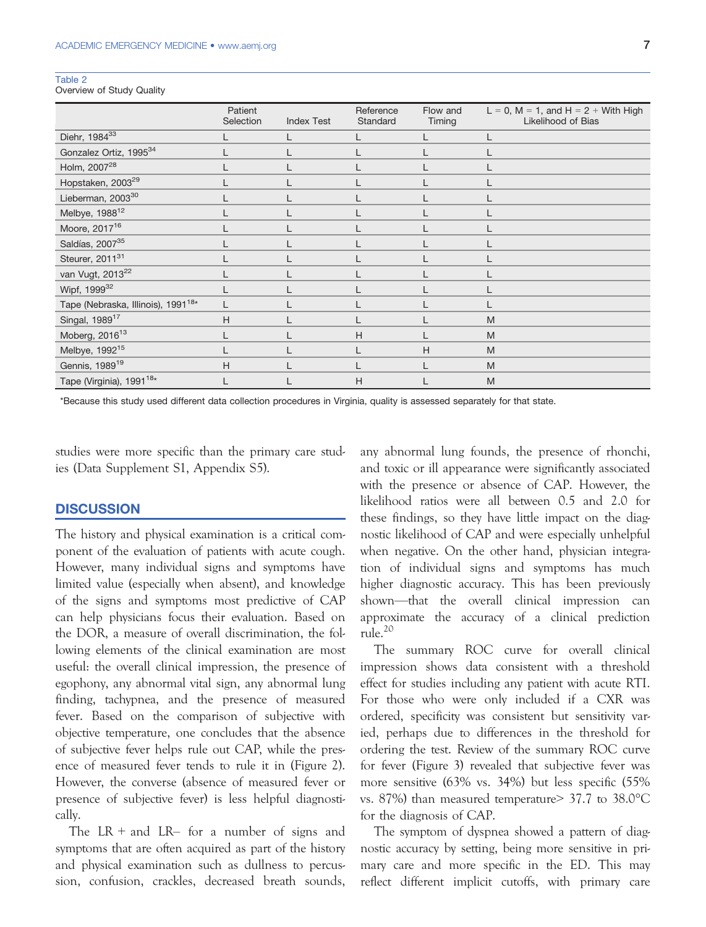| ٠.<br>. .<br>n e s<br>ų. |  |  |  |  |  |
|--------------------------|--|--|--|--|--|
|--------------------------|--|--|--|--|--|

Overview of Study Quality

|                                                | Patient<br>Selection | <b>Index Test</b> | Reference<br>Standard | Flow and<br>Timing | $L = 0$ , M = 1, and H = 2 + With High<br>Likelihood of Bias |
|------------------------------------------------|----------------------|-------------------|-----------------------|--------------------|--------------------------------------------------------------|
| Diehr, 1984 <sup>33</sup>                      |                      |                   |                       |                    |                                                              |
| Gonzalez Ortiz, 1995 <sup>34</sup>             |                      |                   |                       |                    |                                                              |
| Holm, 2007 <sup>28</sup>                       |                      |                   |                       |                    |                                                              |
| Hopstaken, 2003 <sup>29</sup>                  |                      |                   |                       |                    |                                                              |
| Lieberman, 2003 <sup>30</sup>                  |                      |                   |                       |                    |                                                              |
| Melbye, 1988 <sup>12</sup>                     |                      |                   |                       |                    |                                                              |
| Moore, 2017 <sup>16</sup>                      |                      |                   |                       |                    |                                                              |
| Saldías, 2007 <sup>35</sup>                    |                      |                   |                       |                    |                                                              |
| Steurer, 2011 <sup>31</sup>                    |                      |                   |                       |                    |                                                              |
| van Vugt, 2013 <sup>22</sup>                   |                      |                   |                       |                    |                                                              |
| Wipf, 1999 <sup>32</sup>                       |                      |                   |                       |                    | L                                                            |
| Tape (Nebraska, Illinois), 1991 <sup>18*</sup> | L                    |                   |                       |                    |                                                              |
| Singal, 1989 <sup>17</sup>                     | H                    |                   |                       |                    | M                                                            |
| Moberg, 2016 <sup>13</sup>                     |                      |                   | H                     |                    | M                                                            |
| Melbye, 1992 <sup>15</sup>                     |                      |                   |                       | H                  | M                                                            |
| Gennis, 1989 <sup>19</sup>                     | H                    |                   |                       |                    | M                                                            |
| Tape (Virginia), 1991 <sup>18*</sup>           |                      |                   | Η                     |                    | M                                                            |

\*Because this study used different data collection procedures in Virginia, quality is assessed separately for that state.

studies were more specific than the primary care studies (Data Supplement S1, Appendix S5).

#### **DISCUSSION**

The history and physical examination is a critical component of the evaluation of patients with acute cough. However, many individual signs and symptoms have limited value (especially when absent), and knowledge of the signs and symptoms most predictive of CAP can help physicians focus their evaluation. Based on the DOR, a measure of overall discrimination, the following elements of the clinical examination are most useful: the overall clinical impression, the presence of egophony, any abnormal vital sign, any abnormal lung finding, tachypnea, and the presence of measured fever. Based on the comparison of subjective with objective temperature, one concludes that the absence of subjective fever helps rule out CAP, while the presence of measured fever tends to rule it in (Figure 2). However, the converse (absence of measured fever or presence of subjective fever) is less helpful diagnostically.

The  $LR +$  and  $LR -$  for a number of signs and symptoms that are often acquired as part of the history and physical examination such as dullness to percussion, confusion, crackles, decreased breath sounds, any abnormal lung founds, the presence of rhonchi, and toxic or ill appearance were significantly associated with the presence or absence of CAP. However, the likelihood ratios were all between 0.5 and 2.0 for these findings, so they have little impact on the diagnostic likelihood of CAP and were especially unhelpful when negative. On the other hand, physician integration of individual signs and symptoms has much higher diagnostic accuracy. This has been previously shown—that the overall clinical impression can approximate the accuracy of a clinical prediction  $rule<sup>20</sup>$ 

The summary ROC curve for overall clinical impression shows data consistent with a threshold effect for studies including any patient with acute RTI. For those who were only included if a CXR was ordered, specificity was consistent but sensitivity varied, perhaps due to differences in the threshold for ordering the test. Review of the summary ROC curve for fever (Figure 3) revealed that subjective fever was more sensitive (63% vs. 34%) but less specific (55% vs. 87%) than measured temperature> 37.7 to 38.0°C for the diagnosis of CAP.

The symptom of dyspnea showed a pattern of diagnostic accuracy by setting, being more sensitive in primary care and more specific in the ED. This may reflect different implicit cutoffs, with primary care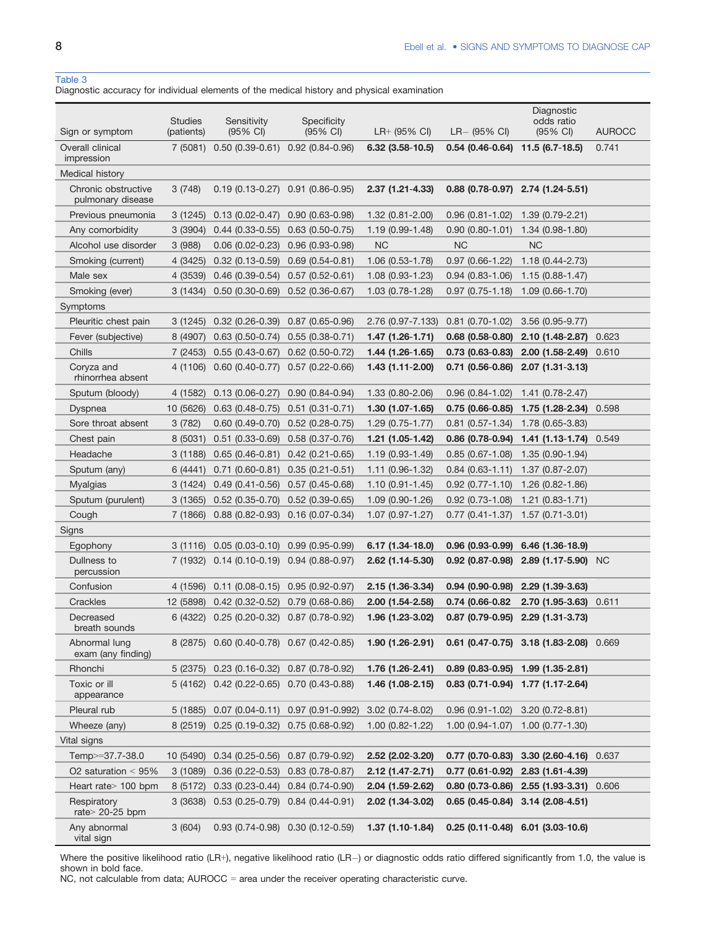#### Table 3

Diagnostic accuracy for individual elements of the medical history and physical examination

| Sign or symptom                          | <b>Studies</b><br>(patients) | Sensitivity<br>$(95% \text{ Cl})$          | <b>Specificity</b><br>$(95% \text{ Cl})$ | $LR+$ (95% CI)      | $LR - (95\% \text{ Cl})$ | Diagnostic<br>odds ratio<br>(95% CI)      | <b>AUROCC</b> |
|------------------------------------------|------------------------------|--------------------------------------------|------------------------------------------|---------------------|--------------------------|-------------------------------------------|---------------|
| Overall clinical<br>impression           | 7(5081)                      | $0.50(0.39-0.61)$                          | $0.92(0.84 - 0.96)$                      | $6.32$ (3.58-10.5)  | $0.54(0.46-0.64)$        | $11.5(6.7-18.5)$                          | 0.741         |
| Medical history                          |                              |                                            |                                          |                     |                          |                                           |               |
| Chronic obstructive<br>pulmonary disease | 3(748)                       |                                            | $0.19(0.13-0.27)$ $0.91(0.86-0.95)$      | $2.37(1.21 - 4.33)$ |                          | $0.88$ (0.78-0.97) 2.74 (1.24-5.51)       |               |
| Previous pneumonia                       | 3(1245)                      | $0.13(0.02 - 0.47)$                        | $0.90(0.63 - 0.98)$                      | $1.32(0.81 - 2.00)$ | $0.96(0.81 - 1.02)$      | $1.39(0.79-2.21)$                         |               |
| Any comorbidity                          | 3(3904)                      | $0.44(0.33-0.55)$                          | $0.63$ (0.50-0.75)                       | 1.19 (0.99-1.48)    | $0.90(0.80 - 1.01)$      | $1.34(0.98-1.80)$                         |               |
| Alcohol use disorder                     | 3(988)                       | $0.06$ (0.02-0.23)                         | $0.96(0.93 - 0.98)$                      | <b>NC</b>           | <b>NC</b>                | <b>NC</b>                                 |               |
| Smoking (current)                        | 4 (3425)                     | $0.32(0.13 - 0.59)$                        | $0.69(0.54-0.81)$                        | 1.06 (0.53-1.78)    | $0.97(0.66 - 1.22)$      | $1.18(0.44 - 2.73)$                       |               |
| Male sex                                 | 4 (3539)                     | $0.46(0.39 - 0.54)$                        | $0.57(0.52 - 0.61)$                      | $1.08(0.93 - 1.23)$ | $0.94(0.83 - 1.06)$      | $1.15(0.88 - 1.47)$                       |               |
| Smoking (ever)                           | 3 (1434)                     | $0.50(0.30-0.69)$                          | $0.52(0.36 - 0.67)$                      | 1.03 (0.78-1.28)    | $0.97(0.75 - 1.18)$      | $1.09(0.66 - 1.70)$                       |               |
| Symptoms                                 |                              |                                            |                                          |                     |                          |                                           |               |
| Pleuritic chest pain                     | 3(1245)                      | $0.32(0.26-0.39)$                          | $0.87(0.65 - 0.96)$                      | 2.76 (0.97-7.133)   | $0.81$ (0.70-1.02)       | 3.56 (0.95-9.77)                          |               |
| Fever (subjective)                       | 8 (4907)                     | $0.63$ (0.50-0.74)                         | $0.55(0.38 - 0.71)$                      | 1.47 (1.26-1.71)    | $0.68$ (0.58-0.80)       | $2.10(1.48-2.87)$                         | 0.623         |
| Chills                                   | 7 (2453)                     | $0.55(0.43 - 0.67)$                        | $0.62$ (0.50-0.72)                       | $1.44(1.26-1.65)$   | $0.73(0.63-0.83)$        | $2.00(1.58-2.49)$                         | 0.610         |
| Coryza and<br>rhinorrhea absent          | 4 (1106)                     | $0.60(0.40 - 0.77)$                        | $0.57(0.22 - 0.66)$                      | $1.43(1.11-2.00)$   | $0.71(0.56-0.86)$        | 2.07 (1.31-3.13)                          |               |
| Sputum (bloody)                          | 4 (1582)                     | $0.13(0.06 - 0.27)$                        | $0.90(0.84 - 0.94)$                      | 1.33 (0.80-2.06)    | $0.96(0.84 - 1.02)$      | $1.41(0.78 - 2.47)$                       |               |
| Dyspnea                                  | 10 (5626)                    | $0.63(0.48-0.75)$                          | $0.51(0.31 - 0.71)$                      | $1.30(1.07-1.65)$   | $0.75(0.66-0.85)$        | $1.75(1.28-2.34)$ 0.598                   |               |
| Sore throat absent                       | 3(782)                       | $0.60(0.49-0.70)$                          | $0.52(0.28-0.75)$                        | $1.29(0.75-1.77)$   | $0.81$ (0.57-1.34)       | 1.78 (0.65-3.83)                          |               |
| Chest pain                               | 8 (5031)                     | $0.51(0.33 - 0.69)$                        | $0.58(0.37 - 0.76)$                      | 1.21 (1.05-1.42)    | $0.86$ (0.78-0.94)       | 1.41 (1.13-1.74) 0.549                    |               |
| Headache                                 | 3(1188)                      | $0.65(0.46-0.81)$                          | $0.42(0.21 - 0.65)$                      | $1.19(0.93 - 1.49)$ | $0.85(0.67 - 1.08)$      | $1.35(0.90-1.94)$                         |               |
| Sputum (any)                             | 6 (4441)                     | $0.71(0.60-0.81)$                          | $0.35(0.21 - 0.51)$                      | $1.11(0.96-1.32)$   | $0.84(0.63 - 1.11)$      | $1.37(0.87 - 2.07)$                       |               |
| <b>Myalgias</b>                          | 3 (1424)                     | $0.49(0.41 - 0.56)$                        | $0.57(0.45-0.68)$                        | $1.10(0.91 - 1.45)$ | $0.92$ (0.77-1.10)       | $1.26(0.82 - 1.86)$                       |               |
| Sputum (purulent)                        | 3(1365)                      | $0.52(0.35 - 0.70)$                        | $0.52(0.39-0.65)$                        | $1.09(0.90-1.26)$   | $0.92$ (0.73-1.08)       | $1.21(0.83 - 1.71)$                       |               |
| Cough                                    | 7 (1866)                     | $0.88(0.82 - 0.93)$                        | $0.16(0.07-0.34)$                        | $1.07(0.97 - 1.27)$ | $0.77(0.41 - 1.37)$      | $1.57(0.71-3.01)$                         |               |
| Signs                                    |                              |                                            |                                          |                     |                          |                                           |               |
| Egophony                                 | 3(1116)                      | $0.05(0.03-0.10)$                          | $0.99(0.95 - 0.99)$                      | $6.17(1.34-18.0)$   | $0.96(0.93-0.99)$        | $6.46$ (1.36-18.9)                        |               |
| Dullness to<br>percussion                | 7 (1932)                     | $0.14$ (0.10-0.19) $0.94$ (0.88-0.97)      |                                          | $2.62$ (1.14-5.30)  | $0.92$ (0.87-0.98)       | $2.89$ (1.17-5.90) NC                     |               |
| Confusion                                | 4 (1596)                     | $0.11(0.08-0.15)$                          | $0.95(0.92 - 0.97)$                      | 2.15 (1.36-3.34)    | $0.94(0.90-0.98)$        | 2.29 (1.39-3.63)                          |               |
| Crackles                                 | 12 (5898)                    | $0.42(0.32 - 0.52)$                        | $0.79(0.68-0.86)$                        | $2.00(1.54 - 2.58)$ | 0.74 (0.66-0.82)         | $2.70(1.95-3.63)0.611$                    |               |
| Decreased<br>breath sounds               | 6 (4322)                     | 0.25 (0.20-0.32) 0.87 (0.78-0.92)          |                                          | 1.96 (1.23-3.02)    | $0.87$ (0.79-0.95)       | $2.29(1.31-3.73)$                         |               |
| Abnormal lung<br>exam (any finding)      |                              | 8 (2875) 0.60 (0.40-0.78) 0.67 (0.42-0.85) |                                          | $1.90(1.26-2.91)$   |                          | $0.61$ (0.47-0.75) 3.18 (1.83-2.08) 0.669 |               |
| Rhonchi                                  |                              | 5 (2375) 0.23 (0.16-0.32) 0.87 (0.78-0.92) |                                          | 1.76 (1.26-2.41)    |                          | $0.89$ (0.83-0.95) 1.99 (1.35-2.81)       |               |
| Toxic or ill<br>appearance               |                              | 5 (4162) 0.42 (0.22-0.65) 0.70 (0.43-0.88) |                                          | 1.46 (1.08-2.15)    |                          | $0.83$ (0.71-0.94) 1.77 (1.17-2.64)       |               |
| Pleural rub                              | 5 (1885)                     | $0.07(0.04 - 0.11)$                        | $0.97(0.91 - 0.992)$                     | $3.02(0.74 - 8.02)$ | $0.96(0.91 - 1.02)$      | $3.20(0.72 - 8.81)$                       |               |
| Wheeze (any)                             |                              | 8 (2519) 0.25 (0.19-0.32)                  | $0.75(0.68-0.92)$                        | $1.00(0.82 - 1.22)$ | $1.00(0.94 - 1.07)$      | $1.00(0.77 - 1.30)$                       |               |
| Vital signs                              |                              |                                            |                                          |                     |                          |                                           |               |
| Temp>=37.7-38.0                          | 10 (5490)                    | $0.34(0.25-0.56)$                          | $0.87(0.79-0.92)$                        | 2.52 (2.02-3.20)    | $0.77$ (0.70-0.83)       | 3.30 (2.60-4.16) 0.637                    |               |
| O2 saturation $< 95\%$                   | 3(1089)                      | $0.36(0.22 - 0.53)$                        | $0.83(0.78-0.87)$                        | 2.12 (1.47-2.71)    | $0.77$ (0.61-0.92)       | 2.83 (1.61-4.39)                          |               |
| Heart rate $>$ 100 bpm                   | 8 (5172)                     | $0.33(0.23-0.44)$                          | $0.84(0.74-0.90)$                        | 2.04 (1.59-2.62)    | $0.80(0.73-0.86)$        | 2.55 (1.93-3.31) 0.606                    |               |
| Respiratory<br>rate $>$ 20-25 bpm        | 3 (3638)                     | $0.53(0.25-0.79)$ $0.84(0.44-0.91)$        |                                          | 2.02 (1.34-3.02)    | $0.65(0.45-0.84)$        | $3.14(2.08-4.51)$                         |               |
| Any abnormal<br>vital sign               | 3(604)                       |                                            | $0.93(0.74-0.98)$ $0.30(0.12-0.59)$      | $1.37(1.10-1.84)$   |                          | $0.25(0.11-0.48)$ 6.01 (3.03-10.6)        |               |

Where the positive likelihood ratio (LR+), negative likelihood ratio (LR-) or diagnostic odds ratio differed significantly from 1.0, the value is shown in bold face.

NC, not calculable from data; AUROCC = area under the receiver operating characteristic curve.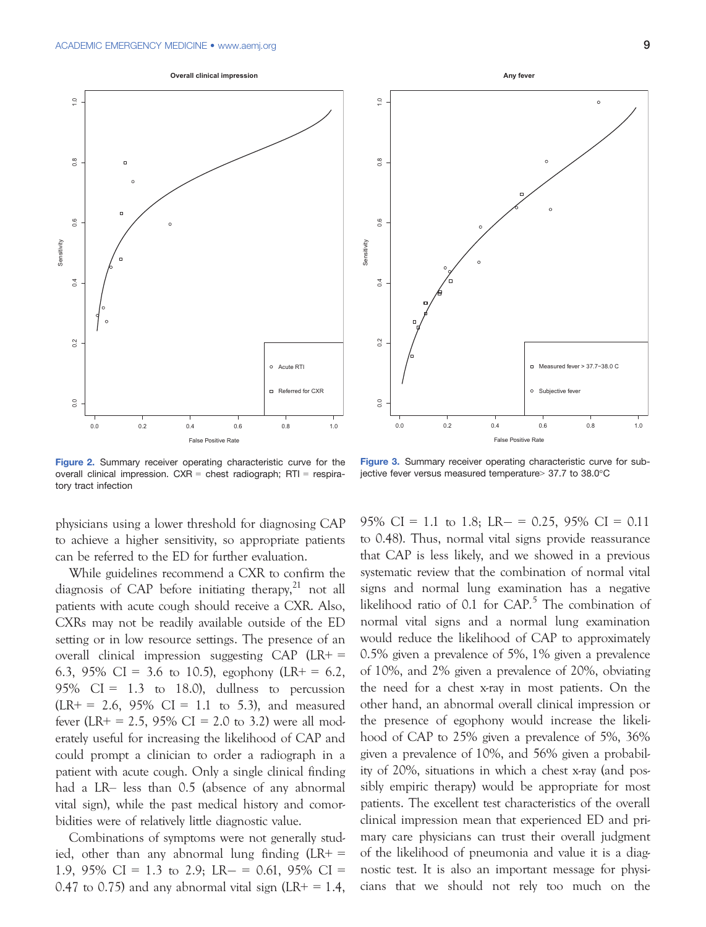



Figure 2. Summary receiver operating characteristic curve for the overall clinical impression. CXR = chest radiograph; RTI = respiratory tract infection

Figure 3. Summary receiver operating characteristic curve for subjective fever versus measured temperature> 37.7 to 38.0°C

physicians using a lower threshold for diagnosing CAP to achieve a higher sensitivity, so appropriate patients can be referred to the ED for further evaluation.

While guidelines recommend a CXR to confirm the diagnosis of CAP before initiating therapy, $^{21}$  not all patients with acute cough should receive a CXR. Also, CXRs may not be readily available outside of the ED setting or in low resource settings. The presence of an overall clinical impression suggesting CAP (LR+ = 6.3, 95% CI = 3.6 to 10.5), egophony (LR+ = 6.2, 95%  $CI = 1.3$  to 18.0), dullness to percussion  $(LR + = 2.6, 95\% \text{ CI} = 1.1 \text{ to } 5.3)$ , and measured fever (LR+ = 2.5, 95% CI = 2.0 to 3.2) were all moderately useful for increasing the likelihood of CAP and could prompt a clinician to order a radiograph in a patient with acute cough. Only a single clinical finding had a LR– less than 0.5 (absence of any abnormal vital sign), while the past medical history and comorbidities were of relatively little diagnostic value.

Combinations of symptoms were not generally studied, other than any abnormal lung finding  $(LR+$ 1.9, 95% CI = 1.3 to 2.9; LR  $- = 0.61$ , 95% CI = 0.47 to 0.75) and any abnormal vital sign (LR+ =  $1.4$ , 95% CI = 1.1 to 1.8; LR –  $= 0.25$ , 95% CI = 0.11 to 0.48). Thus, normal vital signs provide reassurance that CAP is less likely, and we showed in a previous systematic review that the combination of normal vital signs and normal lung examination has a negative likelihood ratio of  $0.1$  for  $CAP$ .<sup>5</sup> The combination of normal vital signs and a normal lung examination would reduce the likelihood of CAP to approximately 0.5% given a prevalence of 5%, 1% given a prevalence of 10%, and 2% given a prevalence of 20%, obviating the need for a chest x-ray in most patients. On the other hand, an abnormal overall clinical impression or the presence of egophony would increase the likelihood of CAP to 25% given a prevalence of 5%, 36% given a prevalence of 10%, and 56% given a probability of 20%, situations in which a chest x-ray (and possibly empiric therapy) would be appropriate for most patients. The excellent test characteristics of the overall clinical impression mean that experienced ED and primary care physicians can trust their overall judgment of the likelihood of pneumonia and value it is a diagnostic test. It is also an important message for physicians that we should not rely too much on the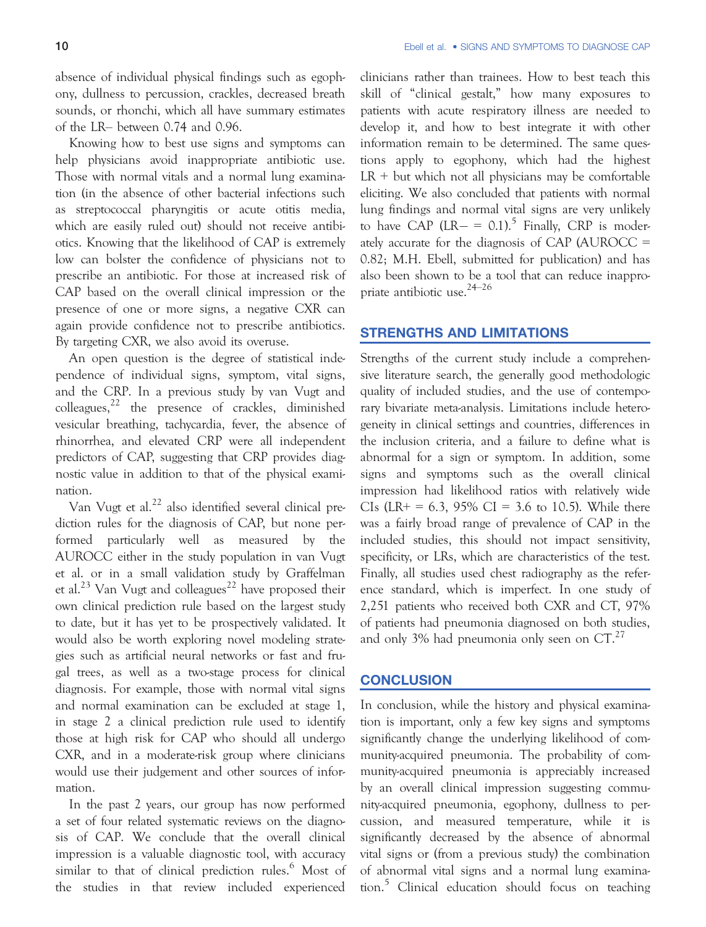absence of individual physical findings such as egophony, dullness to percussion, crackles, decreased breath sounds, or rhonchi, which all have summary estimates of the LR– between 0.74 and 0.96.

Knowing how to best use signs and symptoms can help physicians avoid inappropriate antibiotic use. Those with normal vitals and a normal lung examination (in the absence of other bacterial infections such as streptococcal pharyngitis or acute otitis media, which are easily ruled out) should not receive antibiotics. Knowing that the likelihood of CAP is extremely low can bolster the confidence of physicians not to prescribe an antibiotic. For those at increased risk of CAP based on the overall clinical impression or the presence of one or more signs, a negative CXR can again provide confidence not to prescribe antibiotics. By targeting CXR, we also avoid its overuse.

An open question is the degree of statistical independence of individual signs, symptom, vital signs, and the CRP. In a previous study by van Vugt and colleagues, $^{22}$  the presence of crackles, diminished vesicular breathing, tachycardia, fever, the absence of rhinorrhea, and elevated CRP were all independent predictors of CAP, suggesting that CRP provides diagnostic value in addition to that of the physical examination.

Van Vugt et al.<sup>22</sup> also identified several clinical prediction rules for the diagnosis of CAP, but none performed particularly well as measured by the AUROCC either in the study population in van Vugt et al. or in a small validation study by Graffelman et al.<sup>23</sup> Van Vugt and colleagues<sup>22</sup> have proposed their own clinical prediction rule based on the largest study to date, but it has yet to be prospectively validated. It would also be worth exploring novel modeling strategies such as artificial neural networks or fast and frugal trees, as well as a two-stage process for clinical diagnosis. For example, those with normal vital signs and normal examination can be excluded at stage 1, in stage 2 a clinical prediction rule used to identify those at high risk for CAP who should all undergo CXR, and in a moderate-risk group where clinicians would use their judgement and other sources of information.

In the past 2 years, our group has now performed a set of four related systematic reviews on the diagnosis of CAP. We conclude that the overall clinical impression is a valuable diagnostic tool, with accuracy similar to that of clinical prediction rules.<sup>6</sup> Most of the studies in that review included experienced

clinicians rather than trainees. How to best teach this skill of "clinical gestalt," how many exposures to patients with acute respiratory illness are needed to develop it, and how to best integrate it with other information remain to be determined. The same questions apply to egophony, which had the highest  $LR + but which not all physicians may be comfortable$ eliciting. We also concluded that patients with normal lung findings and normal vital signs are very unlikely to have CAP  $(LR - = 0.1)^5$  Finally, CRP is moderately accurate for the diagnosis of CAP (AUROCC = 0.82; M.H. Ebell, submitted for publication) and has also been shown to be a tool that can reduce inappropriate antibiotic use.24–<sup>26</sup>

# STRENGTHS AND LIMITATIONS

Strengths of the current study include a comprehensive literature search, the generally good methodologic quality of included studies, and the use of contemporary bivariate meta-analysis. Limitations include heterogeneity in clinical settings and countries, differences in the inclusion criteria, and a failure to define what is abnormal for a sign or symptom. In addition, some signs and symptoms such as the overall clinical impression had likelihood ratios with relatively wide CIs (LR+ = 6.3, 95% CI = 3.6 to 10.5). While there was a fairly broad range of prevalence of CAP in the included studies, this should not impact sensitivity, specificity, or LRs, which are characteristics of the test. Finally, all studies used chest radiography as the reference standard, which is imperfect. In one study of 2,251 patients who received both CXR and CT, 97% of patients had pneumonia diagnosed on both studies, and only 3% had pneumonia only seen on  $CT<sup>27</sup>$ 

#### **CONCLUSION**

In conclusion, while the history and physical examination is important, only a few key signs and symptoms significantly change the underlying likelihood of community-acquired pneumonia. The probability of community-acquired pneumonia is appreciably increased by an overall clinical impression suggesting community-acquired pneumonia, egophony, dullness to percussion, and measured temperature, while it is significantly decreased by the absence of abnormal vital signs or (from a previous study) the combination of abnormal vital signs and a normal lung examination.<sup>5</sup> Clinical education should focus on teaching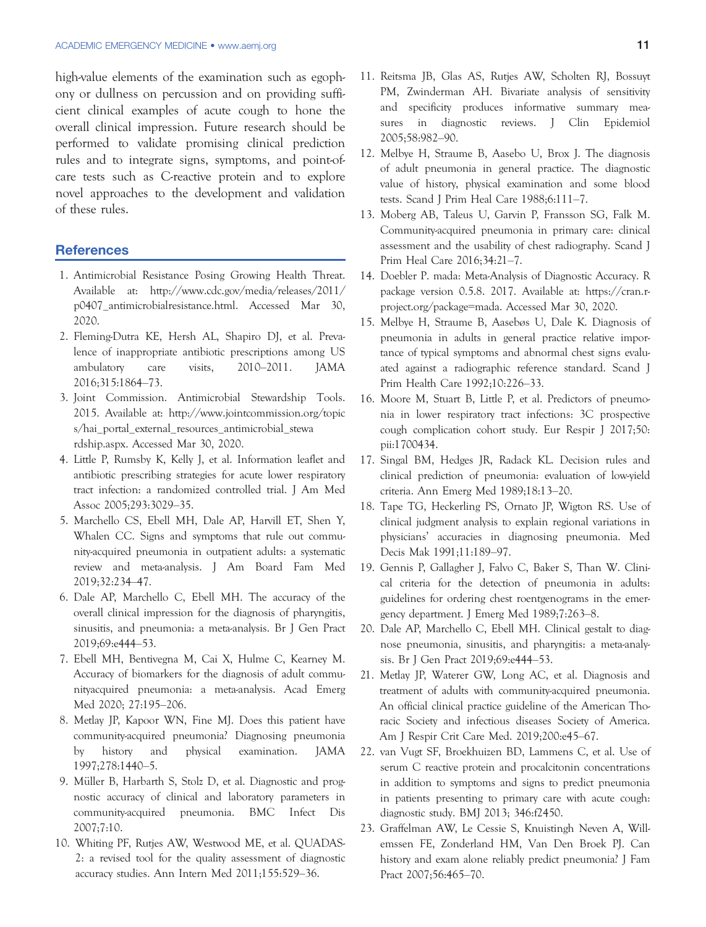high-value elements of the examination such as egophony or dullness on percussion and on providing sufficient clinical examples of acute cough to hone the overall clinical impression. Future research should be performed to validate promising clinical prediction rules and to integrate signs, symptoms, and point-ofcare tests such as C-reactive protein and to explore novel approaches to the development and validation of these rules.

### **References**

- 1. Antimicrobial Resistance Posing Growing Health Threat. Available at: [http://www.cdc.gov/media/releases/2011/](http://www.cdc.gov/media/releases/2011/p0407_antimicrobialresistance.html) [p0407\\_antimicrobialresistance.html.](http://www.cdc.gov/media/releases/2011/p0407_antimicrobialresistance.html) Accessed Mar 30, 2020.
- 2. Fleming-Dutra KE, Hersh AL, Shapiro DJ, et al. Prevalence of inappropriate antibiotic prescriptions among US ambulatory care visits, 2010–2011. JAMA 2016;315:1864–73.
- 3. Joint Commission. Antimicrobial Stewardship Tools. 2015. Available at: [http://www.jointcommission.org/topic](http://www.jointcommission.org/topics/hai_portal_external_resources_antimicrobial_stewardship.aspx) [s/hai\\_portal\\_external\\_resources\\_antimicrobial\\_stewa](http://www.jointcommission.org/topics/hai_portal_external_resources_antimicrobial_stewardship.aspx) [rdship.aspx.](http://www.jointcommission.org/topics/hai_portal_external_resources_antimicrobial_stewardship.aspx) Accessed Mar 30, 2020.
- 4. Little P, Rumsby K, Kelly J, et al. Information leaflet and antibiotic prescribing strategies for acute lower respiratory tract infection: a randomized controlled trial. J Am Med Assoc 2005;293:3029–35.
- 5. Marchello CS, Ebell MH, Dale AP, Harvill ET, Shen Y, Whalen CC. Signs and symptoms that rule out community-acquired pneumonia in outpatient adults: a systematic review and meta-analysis. J Am Board Fam Med 2019;32:234–47.
- 6. Dale AP, Marchello C, Ebell MH. The accuracy of the overall clinical impression for the diagnosis of pharyngitis, sinusitis, and pneumonia: a meta-analysis. Br J Gen Pract 2019;69:e444–53.
- 7. Ebell MH, Bentivegna M, Cai X, Hulme C, Kearney M. Accuracy of biomarkers for the diagnosis of adult communityacquired pneumonia: a meta-analysis. Acad Emerg Med 2020; 27:195–206.
- 8. Metlay JP, Kapoor WN, Fine MJ. Does this patient have community-acquired pneumonia? Diagnosing pneumonia by history and physical examination. JAMA 1997;278:1440–5.
- 9. Müller B, Harbarth S, Stolz D, et al. Diagnostic and prognostic accuracy of clinical and laboratory parameters in community-acquired pneumonia. BMC Infect Dis 2007;7:10.
- 10. Whiting PF, Rutjes AW, Westwood ME, et al. QUADAS-2: a revised tool for the quality assessment of diagnostic accuracy studies. Ann Intern Med 2011;155:529–36.
- 11. Reitsma JB, Glas AS, Rutjes AW, Scholten RJ, Bossuyt PM, Zwinderman AH. Bivariate analysis of sensitivity and specificity produces informative summary measures in diagnostic reviews. J Clin Epidemiol 2005;58:982–90.
- 12. Melbye H, Straume B, Aasebo U, Brox J. The diagnosis of adult pneumonia in general practice. The diagnostic value of history, physical examination and some blood tests. Scand J Prim Heal Care 1988;6:111–7.
- 13. Moberg AB, Taleus U, Garvin P, Fransson SG, Falk M. Community-acquired pneumonia in primary care: clinical assessment and the usability of chest radiography. Scand J Prim Heal Care 2016;34:21–7.
- 14. Doebler P. mada: Meta-Analysis of Diagnostic Accuracy. R package version 0.5.8. 2017. Available at: [https://cran.r](https://cran.r-project.org/package=mada)[project.org/package](https://cran.r-project.org/package=mada)=mada. Accessed Mar 30, 2020.
- 15. Melbye H, Straume B, Aasebøs U, Dale K. Diagnosis of pneumonia in adults in general practice relative importance of typical symptoms and abnormal chest signs evaluated against a radiographic reference standard. Scand J Prim Health Care 1992;10:226–33.
- 16. Moore M, Stuart B, Little P, et al. Predictors of pneumonia in lower respiratory tract infections: 3C prospective cough complication cohort study. Eur Respir J 2017;50: pii:1700434.
- 17. Singal BM, Hedges JR, Radack KL. Decision rules and clinical prediction of pneumonia: evaluation of low-yield criteria. Ann Emerg Med 1989;18:13–20.
- 18. Tape TG, Heckerling PS, Ornato JP, Wigton RS. Use of clinical judgment analysis to explain regional variations in physicians' accuracies in diagnosing pneumonia. Med Decis Mak 1991;11:189–97.
- 19. Gennis P, Gallagher J, Falvo C, Baker S, Than W. Clinical criteria for the detection of pneumonia in adults: guidelines for ordering chest roentgenograms in the emergency department. J Emerg Med 1989;7:263–8.
- 20. Dale AP, Marchello C, Ebell MH. Clinical gestalt to diagnose pneumonia, sinusitis, and pharyngitis: a meta-analysis. Br J Gen Pract 2019;69:e444–53.
- 21. Metlay JP, Waterer GW, Long AC, et al. Diagnosis and treatment of adults with community-acquired pneumonia. An official clinical practice guideline of the American Thoracic Society and infectious diseases Society of America. Am J Respir Crit Care Med. 2019;200:e45–67.
- 22. van Vugt SF, Broekhuizen BD, Lammens C, et al. Use of serum C reactive protein and procalcitonin concentrations in addition to symptoms and signs to predict pneumonia in patients presenting to primary care with acute cough: diagnostic study. BMJ 2013; 346:f2450.
- 23. Graffelman AW, Le Cessie S, Knuistingh Neven A, Willemssen FE, Zonderland HM, Van Den Broek PJ. Can history and exam alone reliably predict pneumonia? J Fam Pract 2007;56:465–70.